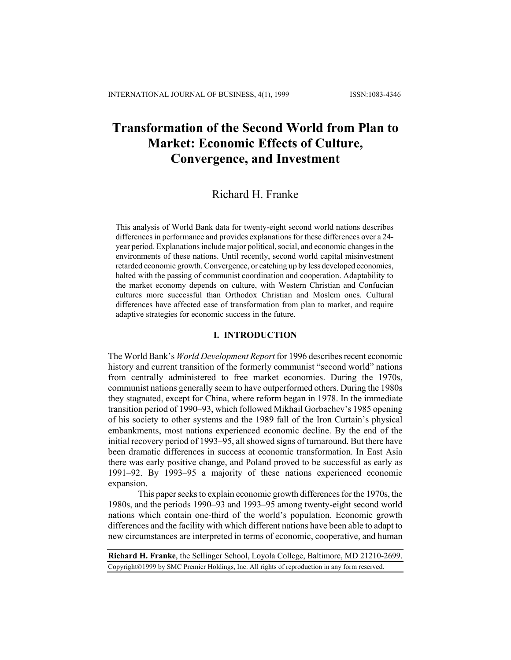# **Transformation of the Second World from Plan to Market: Economic Effects of Culture, Convergence, and Investment**

# Richard H. Franke

This analysis of World Bank data for twenty-eight second world nations describes differences in performance and provides explanations for these differences over a 24 year period. Explanations include major political, social, and economic changes in the environments of these nations. Until recently, second world capital misinvestment retarded economic growth. Convergence, or catching up by less developed economies, halted with the passing of communist coordination and cooperation. Adaptability to the market economy depends on culture, with Western Christian and Confucian cultures more successful than Orthodox Christian and Moslem ones. Cultural differences have affected ease of transformation from plan to market, and require adaptive strategies for economic success in the future.

#### **I. INTRODUCTION**

The World Bank's *World Development Report* for 1996 describes recent economic history and current transition of the formerly communist "second world" nations from centrally administered to free market economies. During the 1970s, communist nations generally seem to have outperformed others. During the 1980s they stagnated, except for China, where reform began in 1978. In the immediate transition period of 1990–93, which followed Mikhail Gorbachev's 1985 opening of his society to other systems and the 1989 fall of the Iron Curtain's physical embankments, most nations experienced economic decline. By the end of the initial recovery period of 1993–95, all showed signs of turnaround. But there have been dramatic differences in success at economic transformation. In East Asia there was early positive change, and Poland proved to be successful as early as 1991–92. By 1993–95 a majority of these nations experienced economic expansion.

This paper seeks to explain economic growth differences for the 1970s, the 1980s, and the periods 1990–93 and 1993–95 among twenty-eight second world nations which contain one-third of the world's population. Economic growth differences and the facility with which different nations have been able to adapt to new circumstances are interpreted in terms of economic, cooperative, and human

**Richard H. Franke**, the Sellinger School, Loyola College, Baltimore, MD 21210-2699. Copyright©1999 by SMC Premier Holdings, Inc. All rights of reproduction in any form reserved.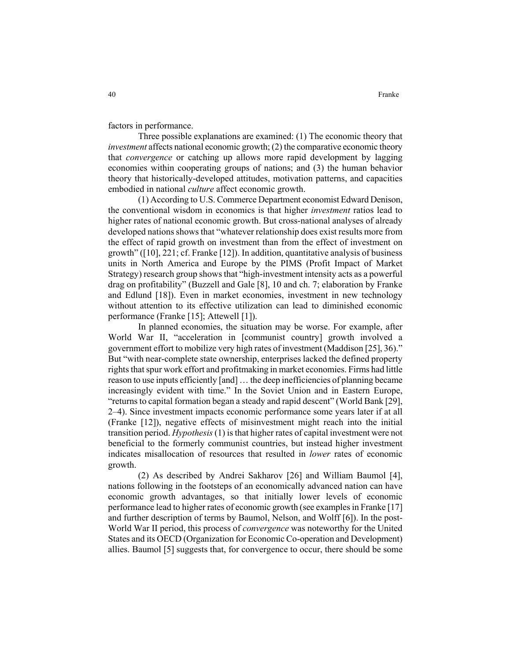factors in performance.

Three possible explanations are examined: (1) The economic theory that *investment* affects national economic growth; (2) the comparative economic theory that *convergence* or catching up allows more rapid development by lagging economies within cooperating groups of nations; and (3) the human behavior theory that historically-developed attitudes, motivation patterns, and capacities embodied in national *culture* affect economic growth.

(1) According to U.S. Commerce Department economist Edward Denison, the conventional wisdom in economics is that higher *investment* ratios lead to higher rates of national economic growth. But cross-national analyses of already developed nations shows that "whatever relationship does exist results more from the effect of rapid growth on investment than from the effect of investment on growth" ([10], 221; cf. Franke [12]). In addition, quantitative analysis of business units in North America and Europe by the PIMS (Profit Impact of Market Strategy) research group shows that "high-investment intensity acts as a powerful drag on profitability" (Buzzell and Gale [8], 10 and ch. 7; elaboration by Franke and Edlund [18]). Even in market economies, investment in new technology without attention to its effective utilization can lead to diminished economic performance (Franke [15]; Attewell [1]).

In planned economies, the situation may be worse. For example, after World War II, "acceleration in [communist country] growth involved a government effort to mobilize very high rates of investment (Maddison [25], 36)." But "with near-complete state ownership, enterprises lacked the defined property rights that spur work effort and profitmaking in market economies. Firms had little reason to use inputs efficiently [and] … the deep inefficiencies of planning became increasingly evident with time." In the Soviet Union and in Eastern Europe, "returns to capital formation began a steady and rapid descent" (World Bank [29], 2–4). Since investment impacts economic performance some years later if at all (Franke [12]), negative effects of misinvestment might reach into the initial transition period. *Hypothesis* (1) is that higher rates of capital investment were not beneficial to the formerly communist countries, but instead higher investment indicates misallocation of resources that resulted in *lower* rates of economic growth.

(2) As described by Andrei Sakharov [26] and William Baumol [4], nations following in the footsteps of an economically advanced nation can have economic growth advantages, so that initially lower levels of economic performance lead to higher rates of economic growth (see examples in Franke [17] and further description of terms by Baumol, Nelson, and Wolff [6]). In the post-World War II period, this process of *convergence* was noteworthy for the United States and its OECD (Organization for Economic Co-operation and Development) allies. Baumol [5] suggests that, for convergence to occur, there should be some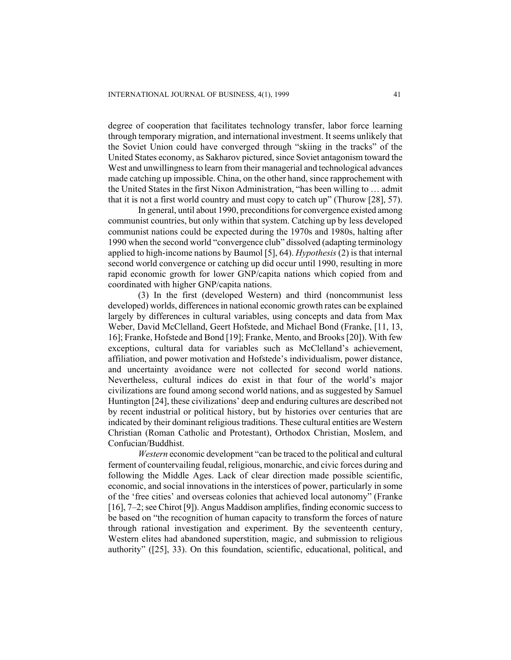degree of cooperation that facilitates technology transfer, labor force learning through temporary migration, and international investment. It seems unlikely that the Soviet Union could have converged through "skiing in the tracks" of the United States economy, as Sakharov pictured, since Soviet antagonism toward the West and unwillingness to learn from their managerial and technological advances made catching up impossible. China, on the other hand, since rapprochement with the United States in the first Nixon Administration, "has been willing to … admit that it is not a first world country and must copy to catch up" (Thurow [28], 57).

In general, until about 1990, preconditions for convergence existed among communist countries, but only within that system. Catching up by less developed communist nations could be expected during the 1970s and 1980s, halting after 1990 when the second world "convergence club" dissolved (adapting terminology applied to high-income nations by Baumol [5], 64). *Hypothesis* (2) is that internal second world convergence or catching up did occur until 1990, resulting in more rapid economic growth for lower GNP/capita nations which copied from and coordinated with higher GNP/capita nations.

(3) In the first (developed Western) and third (noncommunist less developed) worlds, differences in national economic growth rates can be explained largely by differences in cultural variables, using concepts and data from Max Weber, David McClelland, Geert Hofstede, and Michael Bond (Franke, [11, 13, 16]; Franke, Hofstede and Bond [19]; Franke, Mento, and Brooks [20]). With few exceptions, cultural data for variables such as McClelland's achievement, affiliation, and power motivation and Hofstede's individualism, power distance, and uncertainty avoidance were not collected for second world nations. Nevertheless, cultural indices do exist in that four of the world's major civilizations are found among second world nations, and as suggested by Samuel Huntington [24], these civilizations' deep and enduring cultures are described not by recent industrial or political history, but by histories over centuries that are indicated by their dominant religious traditions. These cultural entities are Western Christian (Roman Catholic and Protestant), Orthodox Christian, Moslem, and Confucian/Buddhist.

*Western* economic development "can be traced to the political and cultural ferment of countervailing feudal, religious, monarchic, and civic forces during and following the Middle Ages. Lack of clear direction made possible scientific, economic, and social innovations in the interstices of power, particularly in some of the 'free cities' and overseas colonies that achieved local autonomy" (Franke [16], 7–2; see Chirot [9]). Angus Maddison amplifies, finding economic success to be based on "the recognition of human capacity to transform the forces of nature through rational investigation and experiment. By the seventeenth century, Western elites had abandoned superstition, magic, and submission to religious authority" ([25], 33). On this foundation, scientific, educational, political, and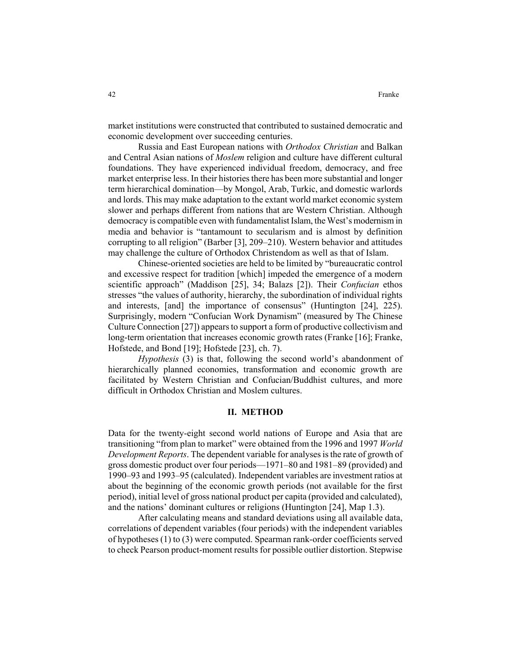market institutions were constructed that contributed to sustained democratic and economic development over succeeding centuries.

Russia and East European nations with *Orthodox Christian* and Balkan and Central Asian nations of *Moslem* religion and culture have different cultural foundations. They have experienced individual freedom, democracy, and free market enterprise less. In their histories there has been more substantial and longer term hierarchical domination—by Mongol, Arab, Turkic, and domestic warlords and lords. This may make adaptation to the extant world market economic system slower and perhaps different from nations that are Western Christian. Although democracy is compatible even with fundamentalist Islam, the West's modernism in media and behavior is "tantamount to secularism and is almost by definition corrupting to all religion" (Barber [3], 209–210). Western behavior and attitudes may challenge the culture of Orthodox Christendom as well as that of Islam.

Chinese-oriented societies are held to be limited by "bureaucratic control and excessive respect for tradition [which] impeded the emergence of a modern scientific approach" (Maddison [25], 34; Balazs [2]). Their *Confucian* ethos stresses "the values of authority, hierarchy, the subordination of individual rights and interests, [and] the importance of consensus" (Huntington [24], 225). Surprisingly, modern "Confucian Work Dynamism" (measured by The Chinese Culture Connection [27]) appears to support a form of productive collectivism and long-term orientation that increases economic growth rates (Franke [16]; Franke, Hofstede, and Bond [19]; Hofstede [23], ch. 7).

*Hypothesis* (3) is that, following the second world's abandonment of hierarchically planned economies, transformation and economic growth are facilitated by Western Christian and Confucian/Buddhist cultures, and more difficult in Orthodox Christian and Moslem cultures.

# **II. METHOD**

Data for the twenty-eight second world nations of Europe and Asia that are transitioning "from plan to market" were obtained from the 1996 and 1997 *World Development Reports*. The dependent variable for analyses is the rate of growth of gross domestic product over four periods—1971–80 and 1981–89 (provided) and 1990–93 and 1993–95 (calculated). Independent variables are investment ratios at about the beginning of the economic growth periods (not available for the first period), initial level of gross national product per capita (provided and calculated), and the nations' dominant cultures or religions (Huntington [24], Map 1.3).

After calculating means and standard deviations using all available data, correlations of dependent variables (four periods) with the independent variables of hypotheses (1) to (3) were computed. Spearman rank-order coefficients served to check Pearson product-moment results for possible outlier distortion. Stepwise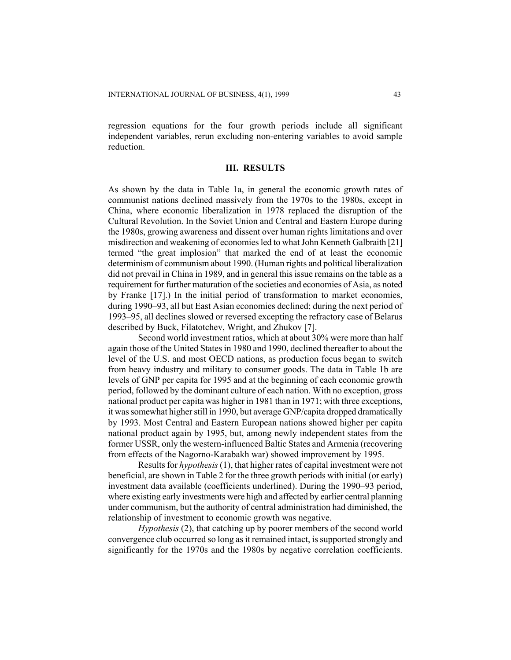regression equations for the four growth periods include all significant independent variables, rerun excluding non-entering variables to avoid sample reduction.

#### **III. RESULTS**

As shown by the data in Table 1a, in general the economic growth rates of communist nations declined massively from the 1970s to the 1980s, except in China, where economic liberalization in 1978 replaced the disruption of the Cultural Revolution. In the Soviet Union and Central and Eastern Europe during the 1980s, growing awareness and dissent over human rights limitations and over misdirection and weakening of economies led to what John Kenneth Galbraith [21] termed "the great implosion" that marked the end of at least the economic determinism of communism about 1990. (Human rights and political liberalization did not prevail in China in 1989, and in general this issue remains on the table as a requirement for further maturation of the societies and economies of Asia, as noted by Franke [17].) In the initial period of transformation to market economies, during 1990–93, all but East Asian economies declined; during the next period of 1993–95, all declines slowed or reversed excepting the refractory case of Belarus described by Buck, Filatotchev, Wright, and Zhukov [7].

Second world investment ratios, which at about 30% were more than half again those of the United States in 1980 and 1990, declined thereafter to about the level of the U.S. and most OECD nations, as production focus began to switch from heavy industry and military to consumer goods. The data in Table 1b are levels of GNP per capita for 1995 and at the beginning of each economic growth period, followed by the dominant culture of each nation. With no exception, gross national product per capita was higher in 1981 than in 1971; with three exceptions, it was somewhat higher still in 1990, but average GNP/capita dropped dramatically by 1993. Most Central and Eastern European nations showed higher per capita national product again by 1995, but, among newly independent states from the former USSR, only the western-influenced Baltic States and Armenia (recovering from effects of the Nagorno-Karabakh war) showed improvement by 1995.

Results for *hypothesis* (1), that higher rates of capital investment were not beneficial, are shown in Table 2 for the three growth periods with initial (or early) investment data available (coefficients underlined). During the 1990–93 period, where existing early investments were high and affected by earlier central planning under communism, but the authority of central administration had diminished, the relationship of investment to economic growth was negative.

*Hypothesis* (2), that catching up by poorer members of the second world convergence club occurred so long as it remained intact, is supported strongly and significantly for the 1970s and the 1980s by negative correlation coefficients.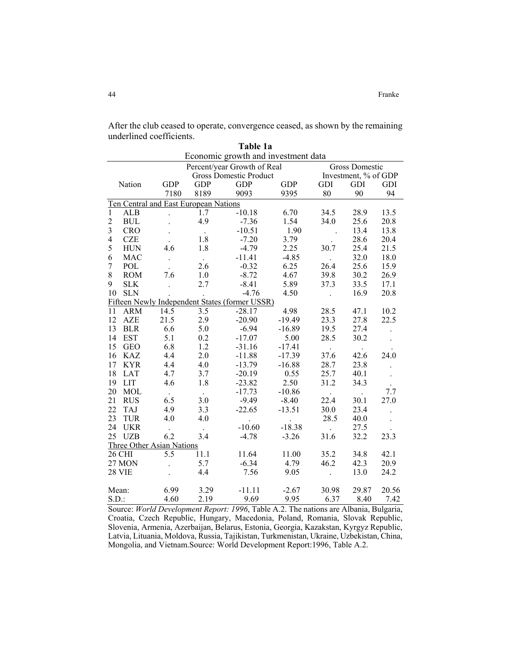After the club ceased to operate, convergence ceased, as shown by the remaining underlined coefficients. **Table 1a** 

|                                                      |                      |                                  |                               | Tadie 1a                                       |            |                      |       |                      |  |  |
|------------------------------------------------------|----------------------|----------------------------------|-------------------------------|------------------------------------------------|------------|----------------------|-------|----------------------|--|--|
|                                                      |                      |                                  |                               | Economic growth and investment data            |            |                      |       |                      |  |  |
| Percent/year Growth of Real<br><b>Gross Domestic</b> |                      |                                  |                               |                                                |            |                      |       |                      |  |  |
|                                                      |                      |                                  | <b>Gross Domestic Product</b> | Investment, % of GDP                           |            |                      |       |                      |  |  |
|                                                      | Nation               | <b>GDP</b>                       | <b>GDP</b>                    | <b>GDP</b>                                     | <b>GDP</b> | GDI                  | GDI   | GDI                  |  |  |
|                                                      |                      | 7180                             | 8189                          | 9093                                           | 9395       | 80                   | 90    | 94                   |  |  |
| Ten Central and East European Nations                |                      |                                  |                               |                                                |            |                      |       |                      |  |  |
| $\mathbf{1}$                                         | ALB                  | $\ddot{\phantom{0}}$             | 1.7                           | $-10.18$                                       | 6.70       | 34.5                 | 28.9  | 13.5                 |  |  |
| $\overline{c}$                                       | $\operatorname{BUL}$ | $\ddot{\phantom{a}}$             | 4.9                           | $-7.36$                                        | 1.54       | 34.0                 | 25.6  | 20.8                 |  |  |
| $\overline{\mathbf{3}}$                              | <b>CRO</b>           | $\ddot{\phantom{0}}$             | $\sim$                        | $-10.51$                                       | 1.90       | $\ddot{\phantom{0}}$ | 13.4  | 13.8                 |  |  |
| $\overline{\mathcal{L}}$                             | <b>CZE</b>           |                                  | 1.8                           | $-7.20$                                        | 3.79       |                      | 28.6  | 20.4                 |  |  |
| 5                                                    | <b>HUN</b>           | 4.6                              | 1.8                           | $-4.79$                                        | 2.25       | 30.7                 | 25.4  | 21.5                 |  |  |
| 6                                                    | <b>MAC</b>           | $\ddot{\phantom{0}}$             | $\sim$                        | $-11.41$                                       | $-4.85$    |                      | 32.0  | 18.0                 |  |  |
| $\overline{7}$                                       | POL                  | $\ddot{\phantom{a}}$             | 2.6                           | $-0.32$                                        | 6.25       | 26.4                 | 25.6  | 15.9                 |  |  |
| 8                                                    | <b>ROM</b>           | 7.6                              | 1.0                           | $-8.72$                                        | 4.67       | 39.8                 | 30.2  | 26.9                 |  |  |
| 9                                                    | <b>SLK</b>           |                                  | 2.7                           | $-8.41$                                        | 5.89       | 37.3                 | 33.5  | 17.1                 |  |  |
| 10                                                   | <b>SLN</b>           |                                  |                               | $-4.76$                                        | 4.50       | $\ddot{\phantom{0}}$ | 16.9  | 20.8                 |  |  |
|                                                      |                      |                                  |                               | Fifteen Newly Independent States (former USSR) |            |                      |       |                      |  |  |
| 11                                                   | <b>ARM</b>           | 14.5                             | 3.5                           | $-28.17$                                       | 4.98       | 28.5                 | 47.1  | 10.2                 |  |  |
| 12                                                   | AZE                  | 21.5                             | 2.9                           | $-20.90$                                       | $-19.49$   | 23.3                 | 27.8  | 22.5                 |  |  |
| 13                                                   | $BLR$                | 6.6                              | 5.0                           | $-6.94$                                        | $-16.89$   | 19.5                 | 27.4  |                      |  |  |
| 14                                                   | <b>EST</b>           | 5.1                              | 0.2                           | $-17.07$                                       | 5.00       | 28.5                 | 30.2  |                      |  |  |
| 15                                                   | <b>GEO</b>           | 6.8                              | 1.2                           | $-31.16$                                       | $-17.41$   |                      |       |                      |  |  |
| 16                                                   | <b>KAZ</b>           | 4.4                              | 2.0                           | $-11.88$                                       | $-17.39$   | 37.6                 | 42.6  | 24.0                 |  |  |
| 17                                                   | <b>KYR</b>           | 4.4                              | 4.0                           | $-13.79$                                       | $-16.88$   | 28.7                 | 23.8  | $\ddot{\phantom{a}}$ |  |  |
| 18                                                   | <b>LAT</b>           | 4.7                              | 3.7                           | $-20.19$                                       | 0.55       | 25.7                 | 40.1  | $\ddot{\phantom{a}}$ |  |  |
| 19                                                   | LIT                  | 4.6                              | 1.8                           | $-23.82$                                       | 2.50       | 31.2                 | 34.3  |                      |  |  |
| 20                                                   | <b>MOL</b>           |                                  | $\Box$                        | $-17.73$                                       | $-10.86$   |                      |       | 7.7                  |  |  |
| 21                                                   | <b>RUS</b>           | 6.5                              | 3.0                           | $-9.49$                                        | $-8.40$    | 22.4                 | 30.1  | 27.0                 |  |  |
| 22                                                   | <b>TAJ</b>           | 4.9                              | 3.3                           | $-22.65$                                       | $-13.51$   | 30.0                 | 23.4  |                      |  |  |
| 23                                                   | <b>TUR</b>           | 4.0                              | 4.0                           |                                                |            | 28.5                 | 40.0  |                      |  |  |
| 24                                                   | <b>UKR</b>           |                                  |                               | $-10.60$                                       | $-18.38$   |                      | 27.5  |                      |  |  |
| 25                                                   | <b>UZB</b>           | 6.2                              | 3.4                           | $-4.78$                                        | $-3.26$    | 31.6                 | 32.2  | 23.3                 |  |  |
|                                                      |                      | <b>Three Other Asian Nations</b> |                               |                                                |            |                      |       |                      |  |  |
|                                                      | 26 CHI               | 5.5                              | 11.1                          | 11.64                                          | 11.00      | 35.2                 | 34.8  | 42.1                 |  |  |
|                                                      | 27 MON               |                                  | 5.7                           | $-6.34$                                        | 4.79       | 46.2                 | 42.3  | 20.9                 |  |  |
|                                                      | 28 VIE               |                                  | 4.4                           | 7.56                                           | 9.05       |                      | 13.0  | 24.2                 |  |  |
| Mean:                                                |                      | 6.99                             | 3.29                          | $-11.11$                                       | $-2.67$    | 30.98                | 29.87 | 20.56                |  |  |
| S.D.                                                 |                      | 4.60                             | 2.19                          | 9.69                                           | 9.95       | 6.37                 | 8.40  | 7.42                 |  |  |

Source: *World Development Report: 1996*, Table A.2. The nations are Albania, Bulgaria, Croatia, Czech Republic, Hungary, Macedonia, Poland, Romania, Slovak Republic, Slovenia, Armenia, Azerbaijan, Belarus, Estonia, Georgia, Kazakstan, Kyrgyz Republic, Latvia, Lituania, Moldova, Russia, Tajikistan, Turkmenistan, Ukraine, Uzbekistan, China, Mongolia, and Vietnam.Source: World Development Report:1996, Table A.2.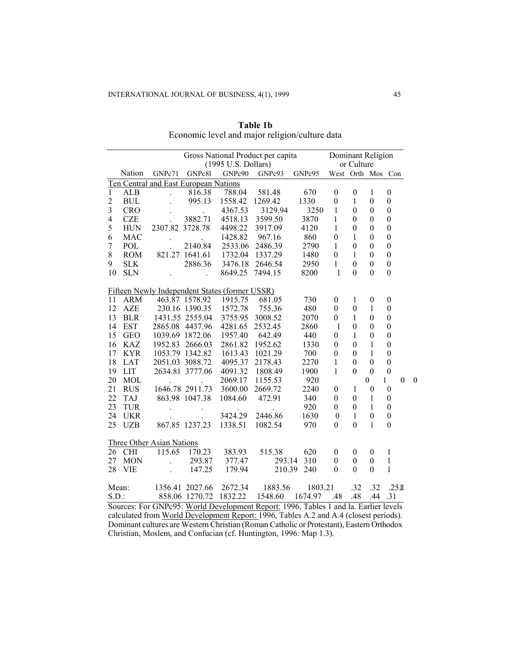| Gross National Product per capita Dominant Religion<br>(1995 U.S. Dollars) |            |                           |                                       |                                                |                                                                                                                                                                                                                                                                                                                                                                                                | or Culture                      |                  |                  |                  |                          |                  |
|----------------------------------------------------------------------------|------------|---------------------------|---------------------------------------|------------------------------------------------|------------------------------------------------------------------------------------------------------------------------------------------------------------------------------------------------------------------------------------------------------------------------------------------------------------------------------------------------------------------------------------------------|---------------------------------|------------------|------------------|------------------|--------------------------|------------------|
|                                                                            | Nation     | GNPc71                    | GNPc81                                | GNPc90                                         |                                                                                                                                                                                                                                                                                                                                                                                                | GNPc93 GNPc95 West Orth Mos Con |                  |                  |                  |                          |                  |
|                                                                            |            |                           | Ten Central and East European Nations |                                                |                                                                                                                                                                                                                                                                                                                                                                                                |                                 |                  |                  |                  |                          |                  |
| $\mathbf{1}$                                                               | ALB        | $\ddot{\phantom{a}}$      | 816.38                                | 788.04                                         | 581.48                                                                                                                                                                                                                                                                                                                                                                                         | 670                             | $\boldsymbol{0}$ | $\boldsymbol{0}$ | $\mathbf{1}$     | $\boldsymbol{0}$         |                  |
| $\overline{c}$                                                             | $\rm BUL$  |                           | 995.13                                | 1558.42                                        | 1269.42                                                                                                                                                                                                                                                                                                                                                                                        | 1330                            | $\boldsymbol{0}$ | $\mathbf{1}$     | $\boldsymbol{0}$ | $\boldsymbol{0}$         |                  |
| $\overline{3}$                                                             | <b>CRO</b> |                           | $\mathcal{L}^{\text{max}}$            | 4367.53                                        | 3129.94                                                                                                                                                                                                                                                                                                                                                                                        | 3250                            | $\mathbf{1}$     | $\mathbf{0}$     | $\boldsymbol{0}$ | $\mathbf{0}$             |                  |
| $\overline{4}$                                                             | <b>CZE</b> |                           | 3882.71                               | 4518.13                                        | 3599.50                                                                                                                                                                                                                                                                                                                                                                                        | 3870                            | $\mathbf{1}$     | $\boldsymbol{0}$ | $\boldsymbol{0}$ | $\boldsymbol{0}$         |                  |
| 5                                                                          | <b>HUN</b> | 2307.82 3728.78           |                                       | 4498.22                                        | 3917.09                                                                                                                                                                                                                                                                                                                                                                                        | 4120                            | $\mathbf{1}$     | $\boldsymbol{0}$ | $\boldsymbol{0}$ | $\boldsymbol{0}$         |                  |
| 6                                                                          | <b>MAC</b> | $\ddot{\phantom{0}}$      | <b>Contractor</b>                     | 1428.82                                        | 967.16                                                                                                                                                                                                                                                                                                                                                                                         | 860                             | $\boldsymbol{0}$ | $\mathbf{1}$     | $\theta$         | $\boldsymbol{0}$         |                  |
| $\boldsymbol{7}$                                                           | POL        |                           | 2140.84                               | 2533.06 2486.39                                |                                                                                                                                                                                                                                                                                                                                                                                                | 2790                            | $\mathbf{1}$     | $\mathbf{0}$     | $\theta$         | $\boldsymbol{0}$         |                  |
| $\,8$                                                                      | <b>ROM</b> |                           | 821.27 1641.61                        |                                                | 1732.04 1337.29                                                                                                                                                                                                                                                                                                                                                                                | 1480                            | $\boldsymbol{0}$ | $\mathbf{1}$     | $\boldsymbol{0}$ | $\boldsymbol{0}$         |                  |
| 9                                                                          | <b>SLK</b> |                           | 2886.36                               |                                                | 3476.18 2646.54                                                                                                                                                                                                                                                                                                                                                                                | 2950                            | $\mathbf{1}$     | $\boldsymbol{0}$ | $\boldsymbol{0}$ | $\boldsymbol{0}$         |                  |
| 10                                                                         | <b>SLN</b> | $\sim$ 100 $\sim$         | $\mathbb{Z}^{\mathbb{Z}^2}$           | 8649.25                                        | 7494.15                                                                                                                                                                                                                                                                                                                                                                                        | 8200                            | $\mathbf{1}$     | $\Omega$         | $\Omega$         | $\mathbf{0}$             |                  |
|                                                                            |            |                           |                                       | Fifteen Newly Independent States (former USSR) |                                                                                                                                                                                                                                                                                                                                                                                                |                                 |                  |                  |                  |                          |                  |
| 11                                                                         | <b>ARM</b> |                           | 463.87 1578.92                        | 1915.75                                        | 681.05                                                                                                                                                                                                                                                                                                                                                                                         | 730                             | $\boldsymbol{0}$ | $\mathbf{1}$     | $\mathbf{0}$     | $\boldsymbol{0}$         |                  |
| 12                                                                         | AZE        |                           | 230.16 1390.35 1572.78                |                                                | 755.36                                                                                                                                                                                                                                                                                                                                                                                         | 480                             | $\boldsymbol{0}$ | $\boldsymbol{0}$ | $\mathbf{1}$     | $\boldsymbol{0}$         |                  |
| 13                                                                         | <b>BLR</b> |                           |                                       | 1431.55 2555.04 3755.95 3008.52                |                                                                                                                                                                                                                                                                                                                                                                                                | 2070                            | $\boldsymbol{0}$ | $\mathbf{1}$     | $\theta$         | $\boldsymbol{0}$         |                  |
| 14                                                                         | <b>EST</b> |                           | 2865.08 4437.96                       | 4281.65                                        | 2532.45                                                                                                                                                                                                                                                                                                                                                                                        | 2860                            | $\overline{1}$   | $\boldsymbol{0}$ | $\boldsymbol{0}$ | $\boldsymbol{0}$         |                  |
| 15                                                                         | <b>GEO</b> |                           | 1039.69 1872.06                       | 1957.40                                        | 642.49                                                                                                                                                                                                                                                                                                                                                                                         | 440                             | $\boldsymbol{0}$ | $\mathbf{1}$     | $\boldsymbol{0}$ | $\boldsymbol{0}$         |                  |
| 16                                                                         | <b>KAZ</b> |                           | 1952.83 2666.03                       | 2861.82                                        | 1952.62                                                                                                                                                                                                                                                                                                                                                                                        | 1330                            | $\boldsymbol{0}$ | $\theta$         | $\mathbf{1}$     | $\boldsymbol{0}$         |                  |
| 17                                                                         | <b>KYR</b> |                           | 1053.79 1342.82                       | 1613.43                                        | 1021.29                                                                                                                                                                                                                                                                                                                                                                                        | 700                             | $\boldsymbol{0}$ | $\boldsymbol{0}$ | $\mathbf{1}$     | $\boldsymbol{0}$         |                  |
| 18                                                                         | <b>LAT</b> |                           | 2051.03 3088.72                       | 4095.37                                        | 2178.43                                                                                                                                                                                                                                                                                                                                                                                        | 2270                            | $\mathbf{1}$     | $\boldsymbol{0}$ | $\boldsymbol{0}$ | $\boldsymbol{0}$         |                  |
| 19                                                                         | <b>LIT</b> |                           | 2634.81 3777.06                       | 4091.32                                        | 1808.49                                                                                                                                                                                                                                                                                                                                                                                        | 1900                            | $\mathbf{1}$     | $\overline{0}$   | $\mathbf{0}$     | $\boldsymbol{0}$         |                  |
| 20                                                                         | <b>MOL</b> |                           |                                       | 2069.17                                        | 1155.53                                                                                                                                                                                                                                                                                                                                                                                        | 920                             |                  |                  | $\overline{0}$   | $\mathbf{1}$<br>$\theta$ | $\boldsymbol{0}$ |
| 21                                                                         | <b>RUS</b> |                           | 1646.78 2911.73                       | 3600.00                                        | 2669.72                                                                                                                                                                                                                                                                                                                                                                                        | 2240                            | $\boldsymbol{0}$ | $\mathbf{1}$     | $\boldsymbol{0}$ | $\boldsymbol{0}$         |                  |
| 22                                                                         | <b>TAJ</b> |                           | 863.98 1047.38                        | 1084.60                                        | 472.91                                                                                                                                                                                                                                                                                                                                                                                         | 340                             | $\boldsymbol{0}$ | $\theta$         | $\mathbf{1}$     | $\boldsymbol{0}$         |                  |
| 23                                                                         | <b>TUR</b> | $\sim$ $\sim$             |                                       |                                                |                                                                                                                                                                                                                                                                                                                                                                                                | 920                             | $\boldsymbol{0}$ | $\boldsymbol{0}$ | $\mathbf{1}$     | $\boldsymbol{0}$         |                  |
| 24                                                                         | <b>UKR</b> | $\sim$                    |                                       | 3424.29                                        | 2446.86                                                                                                                                                                                                                                                                                                                                                                                        | 1630                            | $\mathbf{0}$     | $\mathbf{1}$     | $\boldsymbol{0}$ | $\boldsymbol{0}$         |                  |
| 25                                                                         | <b>UZB</b> |                           | 867.85 1237.23                        | 1338.51                                        | 1082.54                                                                                                                                                                                                                                                                                                                                                                                        | 970                             | $\mathbf{0}$     | $\mathbf{0}$     | $\mathbf{1}$     | $\mathbf{0}$             |                  |
|                                                                            |            | Three Other Asian Nations |                                       |                                                |                                                                                                                                                                                                                                                                                                                                                                                                |                                 |                  |                  |                  |                          |                  |
|                                                                            | 26 CHI     |                           | 115.65 170.23                         | 383.93                                         | 515.38                                                                                                                                                                                                                                                                                                                                                                                         | 620                             | $\boldsymbol{0}$ | $\boldsymbol{0}$ | $\mathbf{0}$     | 1                        |                  |
| 27                                                                         | <b>MON</b> | $\sim 10$                 | 293.87                                | 377.47                                         |                                                                                                                                                                                                                                                                                                                                                                                                | 293.14 310                      | $\mathbf{0}$     | $\mathbf{0}$     | $\theta$         | $\mathbf{1}$             |                  |
| 28                                                                         | <b>VIE</b> | $\sim$                    | 147.25                                | 179.94                                         | 210.39                                                                                                                                                                                                                                                                                                                                                                                         | 240                             | $\Omega$         | $\Omega$         | $\Omega$         | $\mathbf{1}$             |                  |
|                                                                            | Mean:      |                           |                                       |                                                | 1356.41 2027.66 2672.34 1883.56                                                                                                                                                                                                                                                                                                                                                                | 1803.21                         |                  | .32              | .32              | .251                     |                  |
| S.D.                                                                       |            |                           |                                       |                                                | 858.06 1270.72 1832.22 1548.60 1674.97 .48                                                                                                                                                                                                                                                                                                                                                     |                                 |                  | .48              | .44 .31          |                          |                  |
|                                                                            |            |                           |                                       |                                                | $\mathcal{G}_{\text{source}}$ $\mathcal{F}_{\text{c}}$ $\mathcal{C}$ $\mathcal{N}$ $\mathcal{D}_{\text{c}}$ $\mathcal{M}_{\text{c}}$ $\mathcal{A}$ $\mathcal{D}_{\text{c}}$ . Let us not $\mathcal{D}_{\text{source}}$ and $\mathcal{A}$ $\mathcal{D}_{\text{c}}$ $\mathcal{D}_{\text{c}}$ $\mathcal{D}_{\text{c}}$ $\mathcal{D}_{\text{c}}$ $\mathcal{D}_{\text{c}}$ $\mathcal{D}_{\text{c}}$ |                                 |                  |                  |                  |                          |                  |

**Table 1b**  Economic level and major religion/culture data

Sources: For GNPc95: World Development Report: 1996, Tables 1 and la. Earlier levels calculated from World Development Report: 1996, Tables A.2 and A.4 (closest periods). Dominant cultures are Western Christian (Roman Catholic or Protestant), Eastern Orthodox Christian, Moslem, and Confucian (cf. Huntington, 1996: Map 1.3).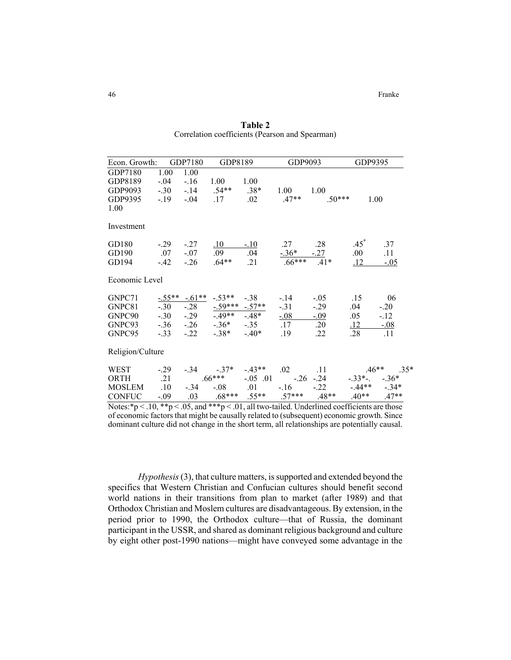| Econ. Growth:                                                                                                                                                                     |         | GDP7180           | GDP8189       |                  | GDP9093                        |                                                        | GDP9395         |                    |
|-----------------------------------------------------------------------------------------------------------------------------------------------------------------------------------|---------|-------------------|---------------|------------------|--------------------------------|--------------------------------------------------------|-----------------|--------------------|
| GDP7180                                                                                                                                                                           | 1.00    | 1.00              |               |                  |                                |                                                        |                 |                    |
| GDP8189                                                                                                                                                                           | $-.04$  | $-.16$            | 1.00          | 1.00             |                                |                                                        |                 |                    |
| GDP9093                                                                                                                                                                           |         | $-.30-.14-.54**$  |               | $.38*$           | 1.00                           | 1.00                                                   |                 |                    |
| GDP9395                                                                                                                                                                           |         | $-.19-.04$        | .17           | $.02\,$          | $.47**$                        | $.50***$                                               | 1.00            |                    |
| 1.00                                                                                                                                                                              |         |                   |               |                  |                                |                                                        |                 |                    |
| Investment                                                                                                                                                                        |         |                   |               |                  |                                |                                                        |                 |                    |
| GD180                                                                                                                                                                             | $-0.29$ | $-.27$            | .10           | $-10$            | .27                            | .28                                                    | $.45*$          | .37                |
| GD190                                                                                                                                                                             | .07     | $-.07$            | .09           | .04              | $\frac{-.36^*}{66^{***}$ . 41* |                                                        | $.00\,$         | .11                |
| GD194                                                                                                                                                                             | $-42$   | $-.26$            | $.64**$       | .21              |                                |                                                        | <u>.12</u>      | <u>-.05</u>        |
| Economic Level                                                                                                                                                                    |         |                   |               |                  |                                |                                                        |                 |                    |
| GNPC71                                                                                                                                                                            |         | $-55***$ $-61***$ | $-.53**$      | $-.38$           | $-14$                          | $-.05$                                                 | .15             | 06                 |
| GNPC81                                                                                                                                                                            | $-.30$  | $-.28$            |               | $-59***$ $-57**$ | $-.31$                         | $-0.29$                                                | .04             | $-.20$             |
| GNPC90                                                                                                                                                                            |         | $-.30-.29$        |               | $-49** -48*$     | $-.08$                         | $-0.09$                                                | .05             | $-.12$             |
| GNPC93                                                                                                                                                                            |         | $-.36 - .26$      | $-.36*-.35$   |                  | .17                            | .20                                                    | <u>.12</u>      | $\frac{-.08}{.11}$ |
| GNPC95                                                                                                                                                                            |         | $-.33-.22$        | $-.38*-.40*$  |                  | .19                            | .22                                                    | .28             |                    |
| Religion/Culture                                                                                                                                                                  |         |                   |               |                  |                                |                                                        |                 |                    |
| WEST                                                                                                                                                                              | $-.29$  |                   | $-.34 - .37*$ | $-43**$          | .02                            | $\sim$ $.11$                                           | $.46**$         | $.35*$             |
| ORTH                                                                                                                                                                              | .21     |                   | $.66***$      | $-.05$ .01       |                                | $-.26-.24$                                             | $-33^*$ $-36^*$ |                    |
| <b>MOSLEM</b>                                                                                                                                                                     | .10     | $-.34$            | $-.08$        | .01              | $-16$                          | $-.22$                                                 | $-44**$ $-34*$  |                    |
| <b>CONFUC</b>                                                                                                                                                                     |         |                   |               |                  |                                | $-0.09$ $0.03$ $0.68***$ $0.55***$ $0.57***$ $0.48***$ | $.40**$ $.47**$ |                    |
| Motor $\sin \theta \leq 10$ $\sin \theta$ $\sin \theta$ and $\sin \theta$ $\cos \theta$ and $\sin \theta$ and $\sin \theta$ and $\sin \theta$ and $\sin \theta$ and $\cos \theta$ |         |                   |               |                  |                                |                                                        |                 |                    |

**Table 2** Correlation coefficients (Pearson and Spearman)

Notes: \*p < .10, \*\*p < .05, and \*\*\*p < .01, all two-tailed. Underlined coefficients are those of economic factors that might be causally related to (subsequent) economic growth. Since dominant culture did not change in the short term, all relationships are potentially causal.

*Hypothesis* (3), that culture matters, is supported and extended beyond the specifics that Western Christian and Confucian cultures should benefit second world nations in their transitions from plan to market (after 1989) and that Orthodox Christian and Moslem cultures are disadvantageous. By extension, in the period prior to 1990, the Orthodox culture—that of Russia, the dominant participant in the USSR, and shared as dominant religious background and culture by eight other post-1990 nations—might have conveyed some advantage in the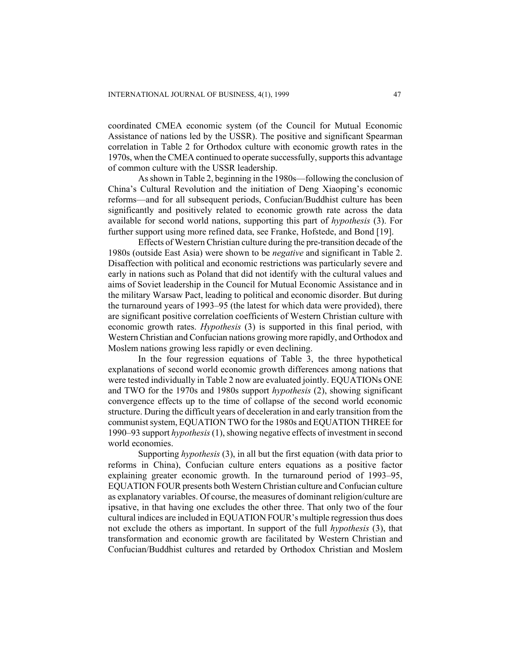coordinated CMEA economic system (of the Council for Mutual Economic Assistance of nations led by the USSR). The positive and significant Spearman correlation in Table 2 for Orthodox culture with economic growth rates in the 1970s, when the CMEA continued to operate successfully, supports this advantage of common culture with the USSR leadership.

As shown in Table 2, beginning in the 1980s—following the conclusion of China's Cultural Revolution and the initiation of Deng Xiaoping's economic reforms—and for all subsequent periods, Confucian/Buddhist culture has been significantly and positively related to economic growth rate across the data available for second world nations, supporting this part of *hypothesis* (3). For further support using more refined data, see Franke, Hofstede, and Bond [19].

Effects of Western Christian culture during the pre-transition decade of the 1980s (outside East Asia) were shown to be *negative* and significant in Table 2. Disaffection with political and economic restrictions was particularly severe and early in nations such as Poland that did not identify with the cultural values and aims of Soviet leadership in the Council for Mutual Economic Assistance and in the military Warsaw Pact, leading to political and economic disorder. But during the turnaround years of 1993–95 (the latest for which data were provided), there are significant positive correlation coefficients of Western Christian culture with economic growth rates. *Hypothesis* (3) is supported in this final period, with Western Christian and Confucian nations growing more rapidly, and Orthodox and Moslem nations growing less rapidly or even declining.

In the four regression equations of Table 3, the three hypothetical explanations of second world economic growth differences among nations that were tested individually in Table 2 now are evaluated jointly. EQUATIONs ONE and TWO for the 1970s and 1980s support *hypothesis* (2), showing significant convergence effects up to the time of collapse of the second world economic structure. During the difficult years of deceleration in and early transition from the communist system, EQUATION TWO for the 1980s and EQUATION THREE for 1990–93 support *hypothesis* (1), showing negative effects of investment in second world economies.

Supporting *hypothesis* (3), in all but the first equation (with data prior to reforms in China), Confucian culture enters equations as a positive factor explaining greater economic growth. In the turnaround period of 1993–95, EQUATION FOUR presents both Western Christian culture and Confucian culture as explanatory variables. Of course, the measures of dominant religion/culture are ipsative, in that having one excludes the other three. That only two of the four cultural indices are included in EQUATION FOUR's multiple regression thus does not exclude the others as important. In support of the full *hypothesis* (3), that transformation and economic growth are facilitated by Western Christian and Confucian/Buddhist cultures and retarded by Orthodox Christian and Moslem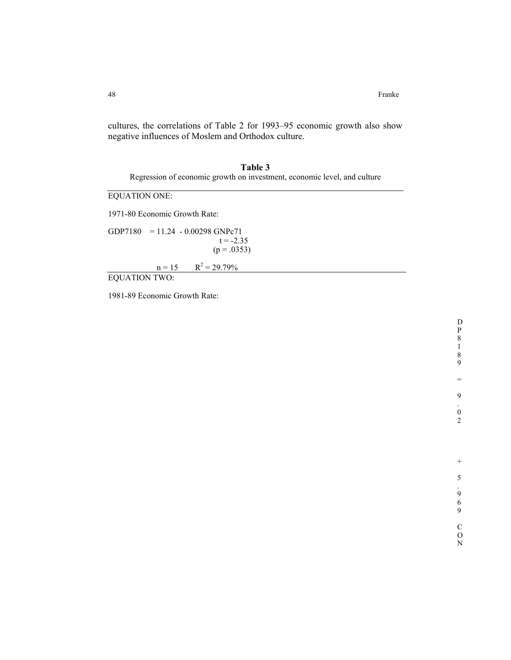cultures, the correlations of Table 2 for 1993–95 economic growth also show negative influences of Moslem and Orthodox culture.

**Table 3**  Regression of economic growth on investment, economic level, and culture

EQUATION ONE:

1971-80 Economic Growth Rate:

GDP7180 = 11.24 - 0.00298 GNPc71  $t = -2.35$  $(p = .0353)$ 

> $n = 15$  $R^2 = 29.79\%$

EQUATION TWO:

1981-89 Economic Growth Rate:

N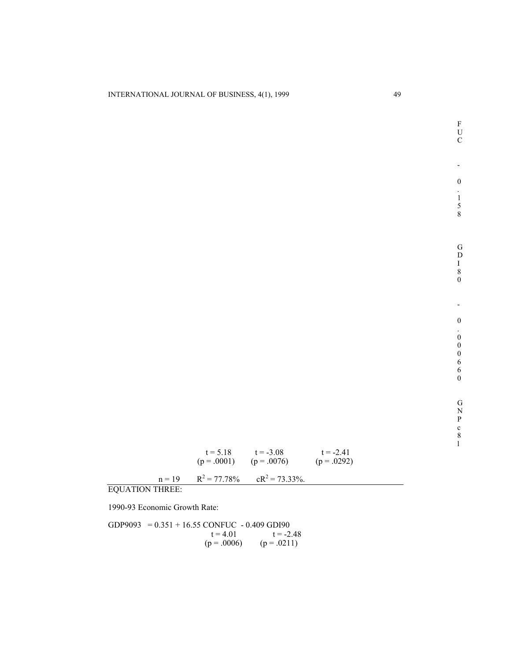l

F

|                        | $t = 5.18$<br>$(p = .0001)$ | $t = -3.08$<br>$(p = .0076)$                | $t = -241$<br>$(p = .0292)$ |
|------------------------|-----------------------------|---------------------------------------------|-----------------------------|
|                        |                             | $n = 19$ $R^2 = 77.78\%$ $cR^2 = 73.33\%$ . |                             |
| <b>EQUATION THREE:</b> |                             |                                             |                             |

1990-93 Economic Growth Rate:

GDP9093 =  $0.351 + 16.55$  CONFUC - 0.409 GDI90  $t = 4.01$   $t = -2.48$  $(p = .0006)$   $(p = .0211)$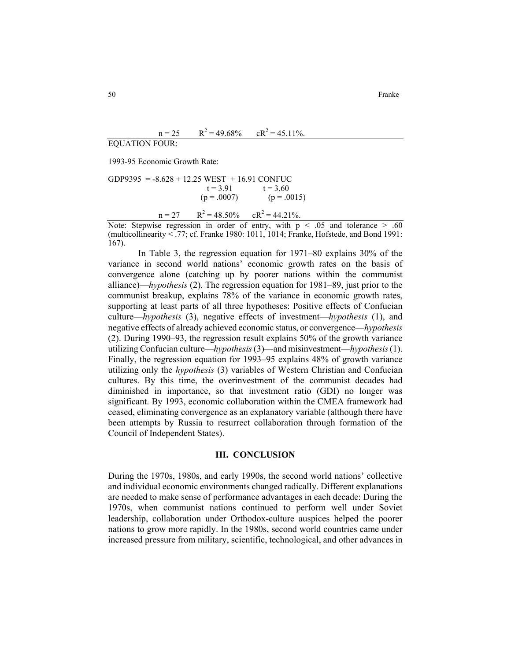$n = 25$  $R^2$  = 49.68%  $cR^2$  = 45.11%.

EQUATION FOUR:

1993-95 Economic Growth Rate:

GDP9395 = -8.628 + 12.25 
$$
WEST + 16.91
$$
 CONFUC  
\nt = 3.91 t = 3.60  
\n(p = .0007) (p = .0015)  
\nn = 27 R<sup>2</sup> = 48.50%  $cR^2 = 44.21\%$ .

Note: Stepwise regression in order of entry, with  $p \leq .05$  and tolerance  $> .60$ (multicollinearity < .77; cf. Franke 1980: 1011, 1014; Franke, Hofstede, and Bond 1991: 167).

In Table 3, the regression equation for 1971–80 explains 30% of the variance in second world nations' economic growth rates on the basis of convergence alone (catching up by poorer nations within the communist alliance)—*hypothesis* (2). The regression equation for 1981–89, just prior to the communist breakup, explains 78% of the variance in economic growth rates, supporting at least parts of all three hypotheses: Positive effects of Confucian culture—*hypothesis* (3), negative effects of investment—*hypothesis* (1), and negative effects of already achieved economic status, or convergence—*hypothesis* (2). During 1990–93, the regression result explains 50% of the growth variance utilizing Confucian culture—*hypothesis* (3)—and misinvestment—*hypothesis* (1). Finally, the regression equation for 1993–95 explains 48% of growth variance utilizing only the *hypothesis* (3) variables of Western Christian and Confucian cultures. By this time, the overinvestment of the communist decades had diminished in importance, so that investment ratio (GDI) no longer was significant. By 1993, economic collaboration within the CMEA framework had ceased, eliminating convergence as an explanatory variable (although there have been attempts by Russia to resurrect collaboration through formation of the Council of Independent States).

#### **III. CONCLUSION**

During the 1970s, 1980s, and early 1990s, the second world nations' collective and individual economic environments changed radically. Different explanations are needed to make sense of performance advantages in each decade: During the 1970s, when communist nations continued to perform well under Soviet leadership, collaboration under Orthodox-culture auspices helped the poorer nations to grow more rapidly. In the 1980s, second world countries came under increased pressure from military, scientific, technological, and other advances in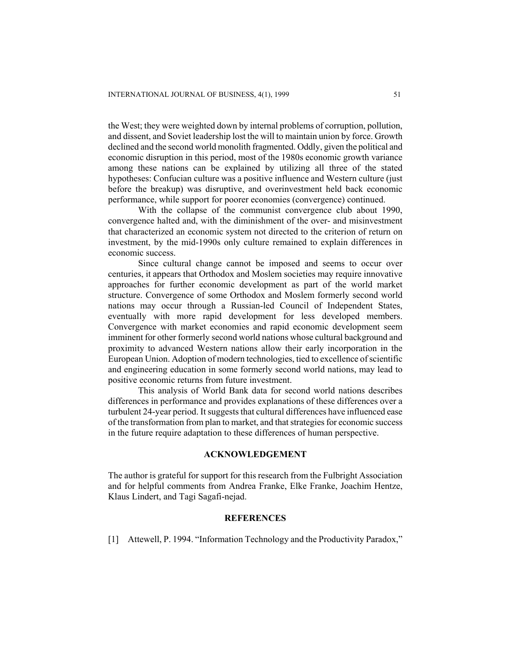the West; they were weighted down by internal problems of corruption, pollution, and dissent, and Soviet leadership lost the will to maintain union by force. Growth declined and the second world monolith fragmented. Oddly, given the political and economic disruption in this period, most of the 1980s economic growth variance among these nations can be explained by utilizing all three of the stated hypotheses: Confucian culture was a positive influence and Western culture (just before the breakup) was disruptive, and overinvestment held back economic performance, while support for poorer economies (convergence) continued.

With the collapse of the communist convergence club about 1990, convergence halted and, with the diminishment of the over- and misinvestment that characterized an economic system not directed to the criterion of return on investment, by the mid-1990s only culture remained to explain differences in economic success.

Since cultural change cannot be imposed and seems to occur over centuries, it appears that Orthodox and Moslem societies may require innovative approaches for further economic development as part of the world market structure. Convergence of some Orthodox and Moslem formerly second world nations may occur through a Russian-led Council of Independent States, eventually with more rapid development for less developed members. Convergence with market economies and rapid economic development seem imminent for other formerly second world nations whose cultural background and proximity to advanced Western nations allow their early incorporation in the European Union. Adoption of modern technologies, tied to excellence of scientific and engineering education in some formerly second world nations, may lead to positive economic returns from future investment.

This analysis of World Bank data for second world nations describes differences in performance and provides explanations of these differences over a turbulent 24-year period. It suggests that cultural differences have influenced ease of the transformation from plan to market, and that strategies for economic success in the future require adaptation to these differences of human perspective.

# **ACKNOWLEDGEMENT**

The author is grateful for support for this research from the Fulbright Association and for helpful comments from Andrea Franke, Elke Franke, Joachim Hentze, Klaus Lindert, and Tagi Sagafi-nejad.

### **REFERENCES**

[1] Attewell, P. 1994. "Information Technology and the Productivity Paradox,"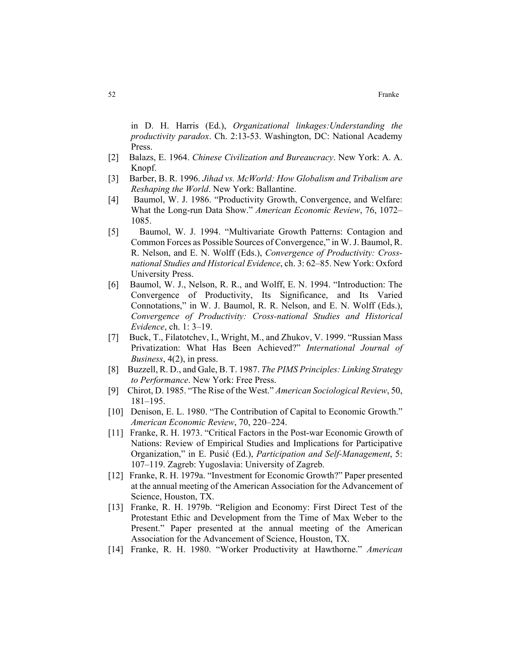52 Franke

in D. H. Harris (Ed.), *Organizational linkages:Understanding the productivity paradox*. Ch. 2:13-53. Washington, DC: National Academy Press.

- [2] Balazs, E. 1964. *Chinese Civilization and Bureaucracy*. New York: A. A. Knopf.
- [3] Barber, B. R. 1996. *Jihad vs. McWorld: How Globalism and Tribalism are Reshaping the World*. New York: Ballantine.
- [4] Baumol, W. J. 1986. "Productivity Growth, Convergence, and Welfare: What the Long-run Data Show." *American Economic Review*, 76, 1072– 1085.
- [5] Baumol, W. J. 1994. "Multivariate Growth Patterns: Contagion and Common Forces as Possible Sources of Convergence," in W. J. Baumol, R. R. Nelson, and E. N. Wolff (Eds.), *Convergence of Productivity: Crossnational Studies and Historical Evidence*, ch. 3: 62–85. New York: Oxford University Press.
- [6] Baumol, W. J., Nelson, R. R., and Wolff, E. N. 1994. "Introduction: The Convergence of Productivity, Its Significance, and Its Varied Connotations," in W. J. Baumol, R. R. Nelson, and E. N. Wolff (Eds.), *Convergence of Productivity: Cross-national Studies and Historical Evidence*, ch. 1: 3–19.
- [7] Buck, T., Filatotchev, I., Wright, M., and Zhukov, V. 1999. "Russian Mass Privatization: What Has Been Achieved?" *International Journal of Business*, 4(2), in press.
- [8] Buzzell, R. D., and Gale, B. T. 1987. *The PIMS Principles: Linking Strategy to Performance*. New York: Free Press.
- [9] Chirot, D. 1985. "The Rise of the West." *American Sociological Review*, 50, 181–195.
- [10] Denison, E. L. 1980. "The Contribution of Capital to Economic Growth." *American Economic Review*, 70, 220–224.
- [11] Franke, R. H. 1973. "Critical Factors in the Post-war Economic Growth of Nations: Review of Empirical Studies and Implications for Participative Organization," in E. Pusić (Ed.), *Participation and Self-Management*, 5: 107–119. Zagreb: Yugoslavia: University of Zagreb.
- [12] Franke, R. H. 1979a. "Investment for Economic Growth?" Paper presented at the annual meeting of the American Association for the Advancement of Science, Houston, TX.
- [13] Franke, R. H. 1979b. "Religion and Economy: First Direct Test of the Protestant Ethic and Development from the Time of Max Weber to the Present." Paper presented at the annual meeting of the American Association for the Advancement of Science, Houston, TX.
- [14] Franke, R. H. 1980. "Worker Productivity at Hawthorne." *American*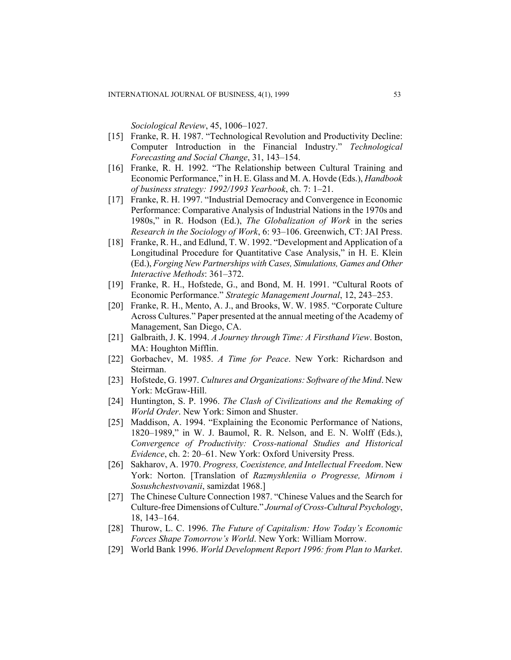*Sociological Review*, 45, 1006–1027.

- [15] Franke, R. H. 1987. "Technological Revolution and Productivity Decline: Computer Introduction in the Financial Industry." *Technological Forecasting and Social Change*, 31, 143–154.
- [16] Franke, R. H. 1992. "The Relationship between Cultural Training and Economic Performance," in H. E. Glass and M. A. Hovde (Eds.), *Handbook of business strategy: 1992/1993 Yearbook*, ch. 7: 1–21.
- [17] Franke, R. H. 1997. "Industrial Democracy and Convergence in Economic Performance: Comparative Analysis of Industrial Nations in the 1970s and 1980s," in R. Hodson (Ed.), *The Globalization of Work* in the series *Research in the Sociology of Work*, 6: 93–106. Greenwich, CT: JAI Press.
- [18] Franke, R. H., and Edlund, T. W. 1992. "Development and Application of a Longitudinal Procedure for Quantitative Case Analysis," in H. E. Klein (Ed.), *Forging New Partnerships with Cases, Simulations, Games and Other Interactive Methods*: 361–372.
- [19] Franke, R. H., Hofstede, G., and Bond, M. H. 1991. "Cultural Roots of Economic Performance." *Strategic Management Journal*, 12, 243–253.
- [20] Franke, R. H., Mento, A. J., and Brooks, W. W. 1985. "Corporate Culture Across Cultures." Paper presented at the annual meeting of the Academy of Management, San Diego, CA.
- [21] Galbraith, J. K. 1994. *A Journey through Time: A Firsthand View*. Boston, MA: Houghton Mifflin.
- [22] Gorbachev, M. 1985. *A Time for Peace*. New York: Richardson and Steirman.
- [23] Hofstede, G. 1997. *Cultures and Organizations: Software of the Mind*. New York: McGraw-Hill.
- [24] Huntington, S. P. 1996. *The Clash of Civilizations and the Remaking of World Order*. New York: Simon and Shuster.
- [25] Maddison, A. 1994. "Explaining the Economic Performance of Nations, 1820–1989," in W. J. Baumol, R. R. Nelson, and E. N. Wolff (Eds.), *Convergence of Productivity: Cross-national Studies and Historical Evidence*, ch. 2: 20–61. New York: Oxford University Press.
- [26] Sakharov, A. 1970. *Progress, Coexistence, and Intellectual Freedom*. New York: Norton. [Translation of *Razmyshleniia o Progresse, Mirnom i Sosushchestvovanii*, samizdat 1968.]
- [27] The Chinese Culture Connection 1987. "Chinese Values and the Search for Culture-free Dimensions of Culture." *Journal of Cross-Cultural Psychology*, 18, 143–164.
- [28] Thurow, L. C. 1996. *The Future of Capitalism: How Today's Economic Forces Shape Tomorrow's World*. New York: William Morrow.
- [29] World Bank 1996. *World Development Report 1996: from Plan to Market*.